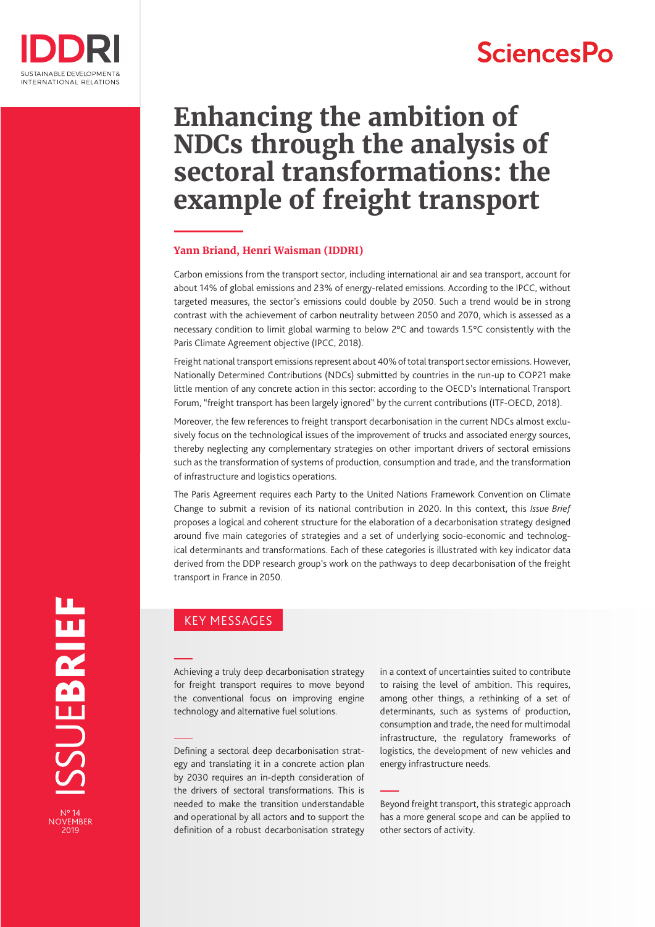

# **SciencesPo**

# **Enhancing the ambition of NDCs through the analysis of sectoral transformations: the example of freight transport**

#### **Yann Briand, Henri Waisman (IDDRI)**

Carbon emissions from the transport sector, including international air and sea transport, account for about 14% of global emissions and 23% of energy-related emissions. According to the IPCC, without targeted measures, the sector's emissions could double by 2050. Such a trend would be in strong contrast with the achievement of carbon neutrality between 2050 and 2070, which is assessed as a necessary condition to limit global warming to below 2°C and towards 1.5°C consistently with the Paris Climate Agreement objective (IPCC, 2018).

Freight national transport emissions represent about 40% of total transport sector emissions. However, Nationally Determined Contributions (NDCs) submitted by countries in the run-up to COP21 make little mention of any concrete action in this sector: according to the OECD's International Transport Forum, "freight transport has been largely ignored" by the current contributions (ITF-OECD, 2018).

Moreover, the few references to freight transport decarbonisation in the current NDCs almost exclusively focus on the technological issues of the improvement of trucks and associated energy sources, thereby neglecting any complementary strategies on other important drivers of sectoral emissions such as the transformation of systems of production, consumption and trade, and the transformation of infrastructure and logistics operations.

The Paris Agreement requires each Party to the United Nations Framework Convention on Climate Change to submit a revision of its national contribution in 2020. In this context, this *Issue Brief* proposes a logical and coherent structure for the elaboration of a decarbonisation strategy designed around five main categories of strategies and a set of underlying socio-economic and technological determinants and transformations. Each of these categories is illustrated with key indicator data derived from the DDP research group's work on the pathways to deep decarbonisation of the freight transport in France in 2050.

#### KEY MESSAGES

Achieving a truly deep decarbonisation strategy for freight transport requires to move beyond the conventional focus on improving engine technology and alternative fuel solutions.

Defining a sectoral deep decarbonisation strategy and translating it in a concrete action plan by 2030 requires an in-depth consideration of the drivers of sectoral transformations. This is needed to make the transition understandable and operational by all actors and to support the definition of a robust decarbonisation strategy

in a context of uncertainties suited to contribute to raising the level of ambition. This requires, among other things, a rethinking of a set of determinants, such as systems of production, consumption and trade, the need for multimodal infrastructure, the regulatory frameworks of logistics, the development of new vehicles and energy infrastructure needs.

Beyond freight transport, this strategic approach has a more general scope and can be applied to other sectors of activity.

SSUEBRIEF

N° 14 NOVEMBER 2019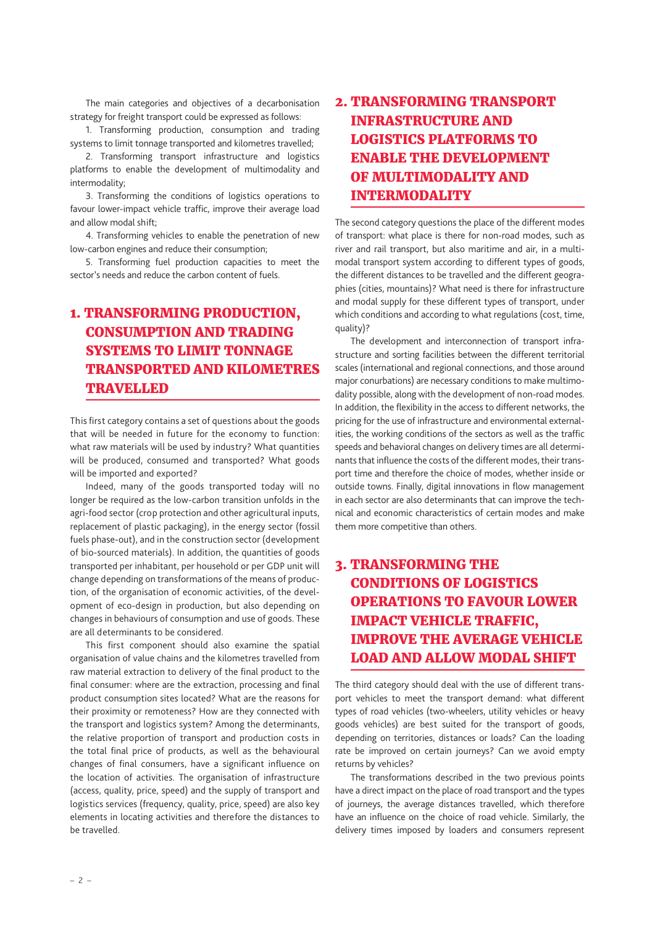The main categories and objectives of a decarbonisation strategy for freight transport could be expressed as follows:

1. Transforming production, consumption and trading systems to limit tonnage transported and kilometres travelled;

2. Transforming transport infrastructure and logistics platforms to enable the development of multimodality and intermodality;

3. Transforming the conditions of logistics operations to favour lower-impact vehicle traffic, improve their average load and allow modal shift;

4. Transforming vehicles to enable the penetration of new low-carbon engines and reduce their consumption;

5. Transforming fuel production capacities to meet the sector's needs and reduce the carbon content of fuels.

## 1. TRANSFORMING PRODUCTION, CONSUMPTION AND TRADING SYSTEMS TO LIMIT TONNAGE TRANSPORTED AND KILOMETRES **TRAVELLED**

This first category contains a set of questions about the goods that will be needed in future for the economy to function: what raw materials will be used by industry? What quantities will be produced, consumed and transported? What goods will be imported and exported?

Indeed, many of the goods transported today will no longer be required as the low-carbon transition unfolds in the agri-food sector (crop protection and other agricultural inputs, replacement of plastic packaging), in the energy sector (fossil fuels phase-out), and in the construction sector (development of bio-sourced materials). In addition, the quantities of goods transported per inhabitant, per household or per GDP unit will change depending on transformations of the means of production, of the organisation of economic activities, of the development of eco-design in production, but also depending on changes in behaviours of consumption and use of goods. These are all determinants to be considered.

This first component should also examine the spatial organisation of value chains and the kilometres travelled from raw material extraction to delivery of the final product to the final consumer: where are the extraction, processing and final product consumption sites located? What are the reasons for their proximity or remoteness? How are they connected with the transport and logistics system? Among the determinants, the relative proportion of transport and production costs in the total final price of products, as well as the behavioural changes of final consumers, have a significant influence on the location of activities. The organisation of infrastructure (access, quality, price, speed) and the supply of transport and logistics services (frequency, quality, price, speed) are also key elements in locating activities and therefore the distances to be travelled.

## 2. TRANSFORMING TRANSPORT INFRASTRUCTURE AND LOGISTICS PLATFORMS TO ENABLE THE DEVELOPMENT OF MULTIMODALITY AND INTERMODALITY

The second category questions the place of the different modes of transport: what place is there for non-road modes, such as river and rail transport, but also maritime and air, in a multimodal transport system according to different types of goods, the different distances to be travelled and the different geographies (cities, mountains)? What need is there for infrastructure and modal supply for these different types of transport, under which conditions and according to what regulations (cost, time, quality)?

The development and interconnection of transport infrastructure and sorting facilities between the different territorial scales (international and regional connections, and those around major conurbations) are necessary conditions to make multimodality possible, along with the development of non-road modes. In addition, the flexibility in the access to different networks, the pricing for the use of infrastructure and environmental externalities, the working conditions of the sectors as well as the traffic speeds and behavioral changes on delivery times are all determinants that influence the costs of the different modes, their transport time and therefore the choice of modes, whether inside or outside towns. Finally, digital innovations in flow management in each sector are also determinants that can improve the technical and economic characteristics of certain modes and make them more competitive than others.

## 3. TRANSFORMING THE CONDITIONS OF LOGISTICS OPERATIONS TO FAVOUR LOWER IMPACT VEHICLE TRAFFIC, IMPROVE THE AVERAGE VEHICLE LOAD AND ALLOW MODAL SHIFT

The third category should deal with the use of different transport vehicles to meet the transport demand: what different types of road vehicles (two-wheelers, utility vehicles or heavy goods vehicles) are best suited for the transport of goods, depending on territories, distances or loads? Can the loading rate be improved on certain journeys? Can we avoid empty returns by vehicles?

The transformations described in the two previous points have a direct impact on the place of road transport and the types of journeys, the average distances travelled, which therefore have an influence on the choice of road vehicle. Similarly, the delivery times imposed by loaders and consumers represent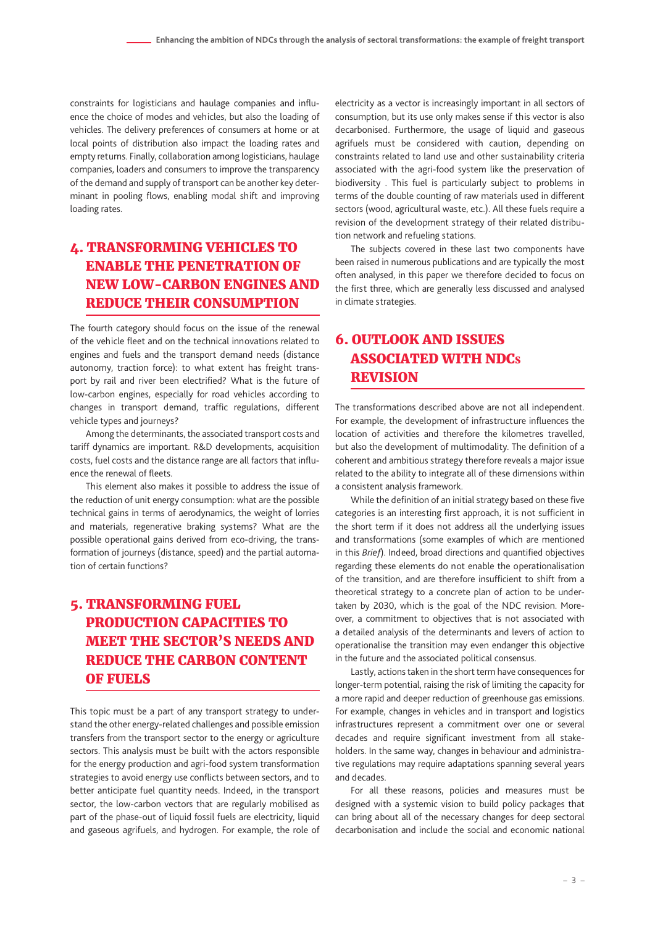constraints for logisticians and haulage companies and influence the choice of modes and vehicles, but also the loading of vehicles. The delivery preferences of consumers at home or at local points of distribution also impact the loading rates and empty returns. Finally, collaboration among logisticians, haulage companies, loaders and consumers to improve the transparency of the demand and supply of transport can be another key determinant in pooling flows, enabling modal shift and improving loading rates.

#### 4. TRANSFORMING VEHICLES TO ENABLE THE PENETRATION OF NEW LOW-CARBON ENGINES AND REDUCE THEIR CONSUMPTION

The fourth category should focus on the issue of the renewal of the vehicle fleet and on the technical innovations related to engines and fuels and the transport demand needs (distance autonomy, traction force): to what extent has freight transport by rail and river been electrified? What is the future of low-carbon engines, especially for road vehicles according to changes in transport demand, traffic regulations, different vehicle types and journeys?

Among the determinants, the associated transport costs and tariff dynamics are important. R&D developments, acquisition costs, fuel costs and the distance range are all factors that influence the renewal of fleets.

This element also makes it possible to address the issue of the reduction of unit energy consumption: what are the possible technical gains in terms of aerodynamics, the weight of lorries and materials, regenerative braking systems? What are the possible operational gains derived from eco-driving, the transformation of journeys (distance, speed) and the partial automation of certain functions?

## 5. TRANSFORMING FUEL PRODUCTION CAPACITIES TO MEET THE SECTOR'S NEEDS AND REDUCE THE CARBON CONTENT OF FUELS

This topic must be a part of any transport strategy to understand the other energy-related challenges and possible emission transfers from the transport sector to the energy or agriculture sectors. This analysis must be built with the actors responsible for the energy production and agri-food system transformation strategies to avoid energy use conflicts between sectors, and to better anticipate fuel quantity needs. Indeed, in the transport sector, the low-carbon vectors that are regularly mobilised as part of the phase-out of liquid fossil fuels are electricity, liquid and gaseous agrifuels, and hydrogen. For example, the role of electricity as a vector is increasingly important in all sectors of consumption, but its use only makes sense if this vector is also decarbonised. Furthermore, the usage of liquid and gaseous agrifuels must be considered with caution, depending on constraints related to land use and other sustainability criteria associated with the agri-food system like the preservation of biodiversity . This fuel is particularly subject to problems in terms of the double counting of raw materials used in different sectors (wood, agricultural waste, etc.). All these fuels require a revision of the development strategy of their related distribution network and refueling stations.

The subjects covered in these last two components have been raised in numerous publications and are typically the most often analysed, in this paper we therefore decided to focus on the first three, which are generally less discussed and analysed in climate strategies.

#### 6. OUTLOOK AND ISSUES ASSOCIATED WITH NDC<sup>s</sup> REVISION

The transformations described above are not all independent. For example, the development of infrastructure influences the location of activities and therefore the kilometres travelled, but also the development of multimodality. The definition of a coherent and ambitious strategy therefore reveals a major issue related to the ability to integrate all of these dimensions within a consistent analysis framework.

While the definition of an initial strategy based on these five categories is an interesting first approach, it is not sufficient in the short term if it does not address all the underlying issues and transformations (some examples of which are mentioned in this *Brief*). Indeed, broad directions and quantified objectives regarding these elements do not enable the operationalisation of the transition, and are therefore insufficient to shift from a theoretical strategy to a concrete plan of action to be undertaken by 2030, which is the goal of the NDC revision. Moreover, a commitment to objectives that is not associated with a detailed analysis of the determinants and levers of action to operationalise the transition may even endanger this objective in the future and the associated political consensus.

Lastly, actions taken in the short term have consequences for longer-term potential, raising the risk of limiting the capacity for a more rapid and deeper reduction of greenhouse gas emissions. For example, changes in vehicles and in transport and logistics infrastructures represent a commitment over one or several decades and require significant investment from all stakeholders. In the same way, changes in behaviour and administrative regulations may require adaptations spanning several years and decades.

For all these reasons, policies and measures must be designed with a systemic vision to build policy packages that can bring about all of the necessary changes for deep sectoral decarbonisation and include the social and economic national